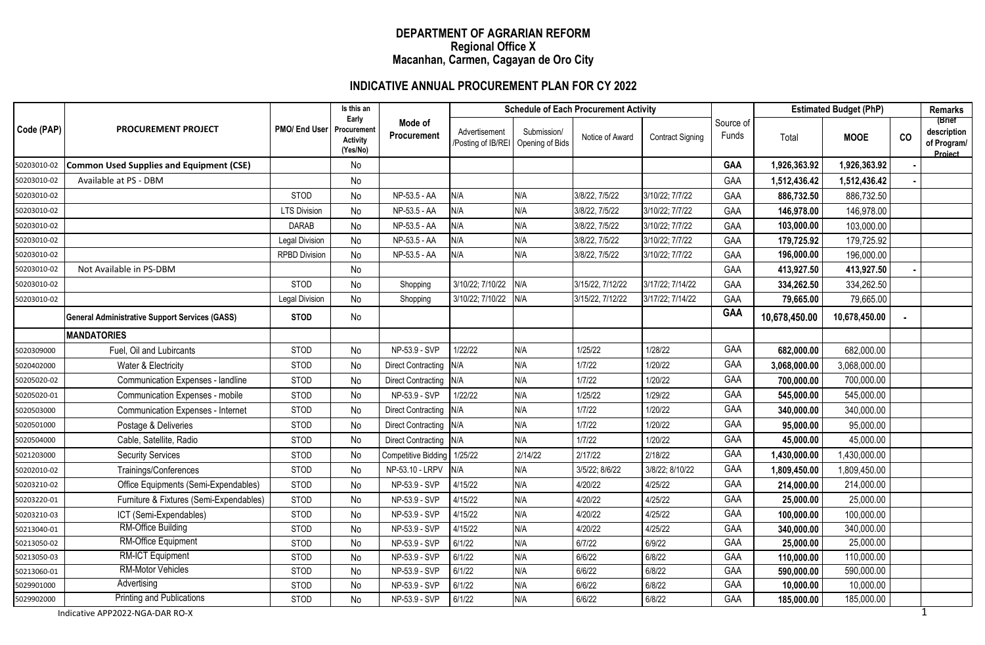### **DEPARTMENT OF AGRARIAN REFORM Regional Office X Macanhan, Carmen, Cagayan de Oro City**

## **INDICATIVE ANNUAL PROCUREMENT PLAN FOR CY 2022**

|             | <b>PROCUREMENT PROJECT</b>                            | PMO/ End User         | Is this an<br>Early<br>Procurement<br>Activity<br>(Yes/No) | Mode of<br>Procurement      | <b>Schedule of Each Procurement Activity</b> |                                |                  |                         |                    | <b>Estimated Budget (PhP)</b> |               |    | <b>Remarks</b>                                  |
|-------------|-------------------------------------------------------|-----------------------|------------------------------------------------------------|-----------------------------|----------------------------------------------|--------------------------------|------------------|-------------------------|--------------------|-------------------------------|---------------|----|-------------------------------------------------|
| Code (PAP)  |                                                       |                       |                                                            |                             | Advertisement<br>Posting of IB/REI           | Submission/<br>Opening of Bids | Notice of Award  | <b>Contract Signing</b> | Source of<br>Funds | Total                         | <b>MOOE</b>   | co | (Brief<br>description<br>of Program/<br>Project |
| 50203010-02 | <b>Common Used Supplies and Equipment (CSE)</b>       |                       | No                                                         |                             |                                              |                                |                  |                         | GAA                | 1,926,363.92                  | 1,926,363.92  |    |                                                 |
| 50203010-02 | Available at PS - DBM                                 |                       | No                                                         |                             |                                              |                                |                  |                         | GAA                | 1,512,436.42                  | 1,512,436.42  |    |                                                 |
| 50203010-02 |                                                       | <b>STOD</b>           | No                                                         | NP-53.5 - AA                | N/A                                          | N/A                            | 3/8/22, 7/5/22   | 3/10/22; 7/7/22         | GAA                | 886,732.50                    | 886,732.50    |    |                                                 |
| 50203010-02 |                                                       | <b>LTS Division</b>   | No                                                         | NP-53.5 - AA                | N/A                                          | N/A                            | 3/8/22, 7/5/22   | 3/10/22; 7/7/22         | GAA                | 146,978.00                    | 146,978.00    |    |                                                 |
| 50203010-02 |                                                       | <b>DARAB</b>          | No                                                         | NP-53.5 - AA                | N/A                                          | N/A                            | 3/8/22, 7/5/22   | 3/10/22; 7/7/22         | GAA                | 103,000.00                    | 103,000.00    |    |                                                 |
| 50203010-02 |                                                       | <b>Legal Division</b> | No                                                         | NP-53.5 - AA                | N/A                                          | N/A                            | 3/8/22, 7/5/22   | 3/10/22; 7/7/22         | GAA                | 179,725.92                    | 179,725.92    |    |                                                 |
| 50203010-02 |                                                       | <b>RPBD Division</b>  | No                                                         | NP-53.5 - AA                | N/A                                          | N/A                            | 3/8/22, 7/5/22   | 3/10/22; 7/7/22         | GAA                | 196,000.00                    | 196,000.00    |    |                                                 |
| 50203010-02 | Not Available in PS-DBM                               |                       | No                                                         |                             |                                              |                                |                  |                         | GAA                | 413,927.50                    | 413,927.50    |    |                                                 |
| 50203010-02 |                                                       | STOD                  | No                                                         | Shopping                    | 3/10/22; 7/10/22                             | N/A                            | 3/15/22, 7/12/22 | 3/17/22; 7/14/22        | GAA                | 334,262.50                    | 334,262.50    |    |                                                 |
| 50203010-02 |                                                       | <b>Legal Division</b> | No                                                         | Shopping                    | 3/10/22; 7/10/22                             | N/A                            | 3/15/22, 7/12/22 | 3/17/22; 7/14/22        | GAA                | 79,665.00                     | 79,665.00     |    |                                                 |
|             | <b>General Administrative Support Services (GASS)</b> | <b>STOD</b>           | No                                                         |                             |                                              |                                |                  |                         | <b>GAA</b>         | 10,678,450.00                 | 10,678,450.00 |    |                                                 |
|             | <b>MANDATORIES</b>                                    |                       |                                                            |                             |                                              |                                |                  |                         |                    |                               |               |    |                                                 |
| 5020309000  | Fuel, Oil and Lubircants                              | STOD                  | No                                                         | NP-53.9 - SVP               | 1/22/22                                      | N/A                            | 1/25/22          | 1/28/22                 | GAA                | 682,000.00                    | 682,000.00    |    |                                                 |
| 5020402000  | Water & Electricity                                   | <b>STOD</b>           | No                                                         | Direct Contracting N/A      |                                              | N/A                            | 1/7/22           | 1/20/22                 | GAA                | 3,068,000.00                  | 3,068,000.00  |    |                                                 |
| 50205020-02 | Communication Expenses - landline                     | STOD                  | No                                                         | <b>Direct Contracting</b>   | N/A                                          | N/A                            | 1/7/22           | 1/20/22                 | GAA                | 700,000.00                    | 700,000.00    |    |                                                 |
| 50205020-01 | Communication Expenses - mobile                       | STOD                  | No                                                         | NP-53.9 - SVP               | 1/22/22                                      | N/A                            | 1/25/22          | 1/29/22                 | GAA                | 545,000.00                    | 545,000.00    |    |                                                 |
| 5020503000  | Communication Expenses - Internet                     | STOD                  | No                                                         | Direct Contracting N/A      |                                              | N/A                            | 1/7/22           | 1/20/22                 | GAA                | 340,000.00                    | 340,000.00    |    |                                                 |
| 5020501000  | Postage & Deliveries                                  | <b>STOD</b>           | No                                                         | Direct Contracting N/A      |                                              | N/A                            | 1/7/22           | 1/20/22                 | GAA                | 95,000.00                     | 95,000.00     |    |                                                 |
| 5020504000  | Cable, Satellite, Radio                               | STOD                  | No                                                         | Direct Contracting N/A      |                                              | N/A                            | 1/7/22           | 1/20/22                 | GAA                | 45,000.00                     | 45,000.00     |    |                                                 |
| 5021203000  | <b>Security Services</b>                              | <b>STOD</b>           | No                                                         | Competitive Bidding 1/25/22 |                                              | 2/14/22                        | 2/17/22          | 2/18/22                 | GAA                | 1,430,000.00                  | 1,430,000.00  |    |                                                 |
| 50202010-02 | Trainings/Conferences                                 | STOD                  | No                                                         | NP-53.10 - LRPV             | N/A                                          | N/A                            | 3/5/22; 8/6/22   | 3/8/22; 8/10/22         | GAA                | 1,809,450.00                  | 1,809,450.00  |    |                                                 |
| 50203210-02 | Office Equipments (Semi-Expendables)                  | STOD                  | No                                                         | NP-53.9 - SVP               | 4/15/22                                      | N/A                            | 4/20/22          | 4/25/22                 | GAA                | 214,000.00                    | 214,000.00    |    |                                                 |
| 50203220-01 | Furniture & Fixtures (Semi-Expendables)               | STOD                  | No                                                         | NP-53.9 - SVP               | 4/15/22                                      | N/A                            | 4/20/22          | 4/25/22                 | GAA                | 25,000.00                     | 25,000.00     |    |                                                 |
| 50203210-03 | ICT (Semi-Expendables)                                | STOD                  | No                                                         | NP-53.9 - SVP               | 4/15/22                                      | N/A                            | 4/20/22          | 4/25/22                 | GAA                | 100,000.00                    | 100,000.00    |    |                                                 |
| 50213040-01 | <b>RM-Office Building</b>                             | STOD                  | No                                                         | NP-53.9 - SVP               | 4/15/22                                      | N/A                            | 4/20/22          | 4/25/22                 | GAA                | 340,000.00                    | 340,000.00    |    |                                                 |
| 50213050-02 | RM-Office Equipment                                   | <b>STOD</b>           | No                                                         | NP-53.9 - SVP               | 6/1/22                                       | N/A                            | 6/7/22           | 6/9/22                  | GAA                | 25,000.00                     | 25,000.00     |    |                                                 |
| 50213050-03 | RM-ICT Equipment                                      | <b>STOD</b>           | No                                                         | NP-53.9 - SVP               | 6/1/22                                       | N/A                            | 6/6/22           | 6/8/22                  | GAA                | 110,000.00                    | 110,000.00    |    |                                                 |
| 50213060-01 | <b>RM-Motor Vehicles</b>                              | STOD                  | No                                                         | NP-53.9 - SVP               | 6/1/22                                       | N/A                            | 6/6/22           | 6/8/22                  | GAA                | 590,000.00                    | 590,000.00    |    |                                                 |
| 5029901000  | Advertising                                           | STOD                  | No                                                         | NP-53.9 - SVP               | 6/1/22                                       | N/A                            | 6/6/22           | 6/8/22                  | GAA                | 10,000.00                     | 10,000.00     |    |                                                 |
| 5029902000  | <b>Printing and Publications</b>                      | <b>STOD</b>           | <b>No</b>                                                  | NP-53.9 - SVP               | 6/1/22                                       | N/A                            | 6/6/22           | 6/8/22                  | GAA                | 185,000.00                    | 185,000.00    |    |                                                 |
|             | Indicative APP2022-NGA-DAR RO-X                       |                       |                                                            |                             |                                              |                                |                  |                         |                    |                               |               |    |                                                 |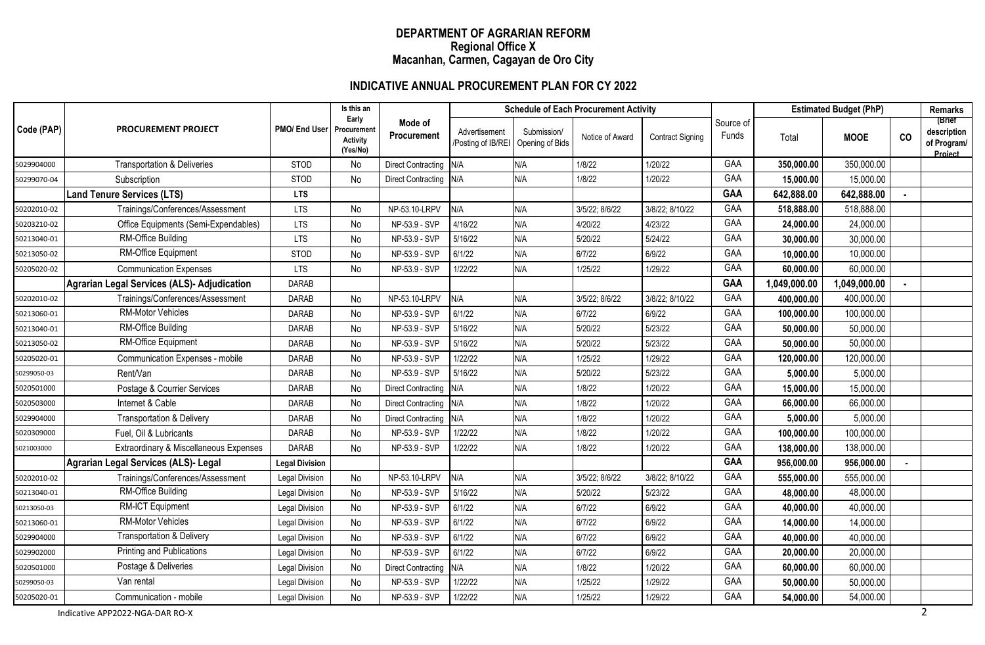### **DEPARTMENT OF AGRARIAN REFORM Regional Office X Macanhan, Carmen, Cagayan de Oro City**

## **INDICATIVE ANNUAL PROCUREMENT PLAN FOR CY 2022**

|             |                                             | PMO/ End User         | Is this an<br>Early<br>Procuremen<br><b>Activity</b><br>(Yes/No) | Mode of<br>Procurement    | <b>Schedule of Each Procurement Activity</b> |                                |                 |                         |                    | <b>Estimated Budget (PhP)</b> |              |    | <b>Remarks</b>                                  |
|-------------|---------------------------------------------|-----------------------|------------------------------------------------------------------|---------------------------|----------------------------------------------|--------------------------------|-----------------|-------------------------|--------------------|-------------------------------|--------------|----|-------------------------------------------------|
| Code (PAP)  | <b>PROCUREMENT PROJECT</b>                  |                       |                                                                  |                           | Advertisement<br>Posting of IB/REI           | Submission/<br>Opening of Bids | Notice of Award | <b>Contract Signing</b> | Source of<br>Funds | Total                         | <b>MOOE</b>  | CO | (Brief<br>description<br>of Program/<br>Project |
| 5029904000  | <b>Transportation &amp; Deliveries</b>      | <b>STOD</b>           | No                                                               | Direct Contracting N/A    |                                              | N/A                            | 1/8/22          | 1/20/22                 | GAA                | 350,000.00                    | 350,000.00   |    |                                                 |
| 50299070-04 | Subscription                                | STOD                  | No                                                               | Direct Contracting N/A    |                                              | N/A                            | 1/8/22          | 1/20/22                 | GAA                | 15,000.00                     | 15,000.00    |    |                                                 |
|             | <b>Land Tenure Services (LTS)</b>           | <b>LTS</b>            |                                                                  |                           |                                              |                                |                 |                         | <b>GAA</b>         | 642,888.00                    | 642,888.00   |    |                                                 |
| 50202010-02 | Trainings/Conferences/Assessment            | <b>LTS</b>            | No                                                               | NP-53.10-LRPV             | N/A                                          | N/A                            | 3/5/22; 8/6/22  | 3/8/22; 8/10/22         | GAA                | 518,888.00                    | 518,888.00   |    |                                                 |
| 50203210-02 | Office Equipments (Semi-Expendables)        | <b>LTS</b>            | No                                                               | NP-53.9 - SVP             | 4/16/22                                      | N/A                            | 4/20/22         | 4/23/22                 | GAA                | 24,000.00                     | 24,000.00    |    |                                                 |
| 50213040-01 | <b>RM-Office Building</b>                   | <b>LTS</b>            | No                                                               | NP-53.9 - SVP             | 5/16/22                                      | N/A                            | 5/20/22         | 5/24/22                 | GAA                | 30,000.00                     | 30,000.00    |    |                                                 |
| 50213050-02 | RM-Office Equipment                         | <b>STOD</b>           | No                                                               | NP-53.9 - SVP             | 6/1/22                                       | N/A                            | 6/7/22          | 6/9/22                  | GAA                | 10,000.00                     | 10,000.00    |    |                                                 |
| 50205020-02 | <b>Communication Expenses</b>               | <b>LTS</b>            | No                                                               | NP-53.9 - SVP             | 1/22/22                                      | N/A                            | 1/25/22         | 1/29/22                 | GAA                | 60,000.00                     | 60,000.00    |    |                                                 |
|             | Agrarian Legal Services (ALS)- Adjudication | <b>DARAB</b>          |                                                                  |                           |                                              |                                |                 |                         | <b>GAA</b>         | 1,049,000.00                  | 1,049,000.00 |    |                                                 |
| 50202010-02 | Trainings/Conferences/Assessment            | <b>DARAB</b>          | No                                                               | NP-53.10-LRPV             | N/A                                          | N/A                            | 3/5/22; 8/6/22  | 3/8/22; 8/10/22         | GAA                | 400,000.00                    | 400,000.00   |    |                                                 |
| 50213060-01 | <b>RM-Motor Vehicles</b>                    | <b>DARAB</b>          | No                                                               | NP-53.9 - SVP             | 6/1/22                                       | N/A                            | 6/7/22          | 6/9/22                  | GAA                | 100,000.00                    | 100,000.00   |    |                                                 |
| 50213040-01 | <b>RM-Office Building</b>                   | <b>DARAB</b>          | No                                                               | NP-53.9 - SVP             | 5/16/22                                      | N/A                            | 5/20/22         | 5/23/22                 | GAA                | 50,000.00                     | 50,000.00    |    |                                                 |
| 50213050-02 | RM-Office Equipment                         | <b>DARAB</b>          | No                                                               | NP-53.9 - SVP             | 5/16/22                                      | N/A                            | 5/20/22         | 5/23/22                 | GAA                | 50,000.00                     | 50,000.00    |    |                                                 |
| 50205020-01 | Communication Expenses - mobile             | DARAB                 | No                                                               | NP-53.9 - SVP             | 1/22/22                                      | N/A                            | 1/25/22         | 1/29/22                 | GAA                | 120,000.00                    | 120,000.00   |    |                                                 |
| 50299050-03 | Rent/Van                                    | <b>DARAB</b>          | No                                                               | NP-53.9 - SVP             | 5/16/22                                      | N/A                            | 5/20/22         | 5/23/22                 | GAA                | 5,000.00                      | 5,000.00     |    |                                                 |
| 5020501000  | Postage & Courrier Services                 | <b>DARAB</b>          | No                                                               | Direct Contracting N/A    |                                              | N/A                            | 1/8/22          | 1/20/22                 | GAA                | 15,000.00                     | 15,000.00    |    |                                                 |
| 5020503000  | Internet & Cable                            | <b>DARAB</b>          | No                                                               | Direct Contracting N/A    |                                              | N/A                            | 1/8/22          | 1/20/22                 | GAA                | 66,000.00                     | 66,000.00    |    |                                                 |
| 5029904000  | <b>Transportation &amp; Delivery</b>        | <b>DARAB</b>          | No                                                               | Direct Contracting N/A    |                                              | N/A                            | 1/8/22          | 1/20/22                 | GAA                | 5,000.00                      | 5,000.00     |    |                                                 |
| 5020309000  | Fuel, Oil & Lubricants                      | <b>DARAB</b>          | No                                                               | NP-53.9 - SVP             | 1/22/22                                      | N/A                            | 1/8/22          | 1/20/22                 | GAA                | 100,000.00                    | 100,000.00   |    |                                                 |
| 5021003000  | Extraordinary & Miscellaneous Expenses      | <b>DARAB</b>          | No                                                               | NP-53.9 - SVP             | 1/22/22                                      | N/A                            | 1/8/22          | 1/20/22                 | GAA                | 138,000.00                    | 138,000.00   |    |                                                 |
|             | Agrarian Legal Services (ALS)- Legal        | <b>Legal Division</b> |                                                                  |                           |                                              |                                |                 |                         | <b>GAA</b>         | 956,000.00                    | 956,000.00   |    |                                                 |
| 50202010-02 | Trainings/Conferences/Assessment            | <b>Legal Division</b> | No                                                               | NP-53.10-LRPV             | N/A                                          | N/A                            | 3/5/22; 8/6/22  | 3/8/22; 8/10/22         | GAA                | 555,000.00                    | 555,000.00   |    |                                                 |
| 50213040-01 | RM-Office Building                          | <b>Legal Division</b> | No                                                               | NP-53.9 - SVP             | 5/16/22                                      | N/A                            | 5/20/22         | 5/23/22                 | GAA                | 48,000.00                     | 48,000.00    |    |                                                 |
| 50213050-03 | RM-ICT Equipment                            | Legal Division        | No                                                               | NP-53.9 - SVP             | 6/1/22                                       | N/A                            | 6/7/22          | 6/9/22                  | GAA                | 40,000.00                     | 40,000.00    |    |                                                 |
| 50213060-01 | <b>RM-Motor Vehicles</b>                    | Legal Division        | No                                                               | NP-53.9 - SVP             | 6/1/22                                       | N/A                            | 6/7/22          | 6/9/22                  | GAA                | 14,000.00                     | 14,000.00    |    |                                                 |
| 5029904000  | <b>Transportation &amp; Delivery</b>        | Legal Division        | No                                                               | NP-53.9 - SVP             | 6/1/22                                       | N/A                            | 6/7/22          | 6/9/22                  | GAA                | 40,000.00                     | 40,000.00    |    |                                                 |
| 5029902000  | <b>Printing and Publications</b>            | Legal Division        | No                                                               | NP-53.9 - SVP             | 6/1/22                                       | N/A                            | 6/7/22          | 6/9/22                  | GAA                | 20,000.00                     | 20,000.00    |    |                                                 |
| 5020501000  | Postage & Deliveries                        | <b>Legal Division</b> | No                                                               | <b>Direct Contracting</b> | N/A                                          | N/A                            | 1/8/22          | 1/20/22                 | GAA                | 60,000.00                     | 60,000.00    |    |                                                 |
| 50299050-03 | Van rental                                  | Legal Division        | No                                                               | NP-53.9 - SVP             | 1/22/22                                      | N/A                            | 1/25/22         | 1/29/22                 | GAA                | 50,000.00                     | 50,000.00    |    |                                                 |
| 50205020-01 | Communication - mobile                      | <b>Legal Division</b> | No                                                               | NP-53.9 - SVP             | 1/22/22                                      | N/A                            | 1/25/22         | 1/29/22                 | GAA                | 54,000.00                     | 54,000.00    |    |                                                 |
|             | Indicative APP2022-NGA-DAR RO-X             |                       |                                                                  |                           |                                              |                                |                 |                         |                    |                               |              |    | $\overline{2}$                                  |